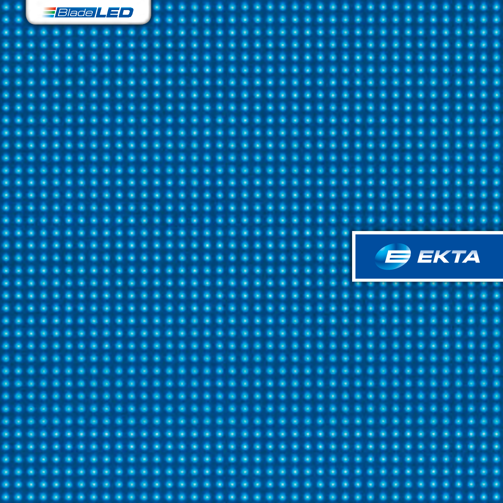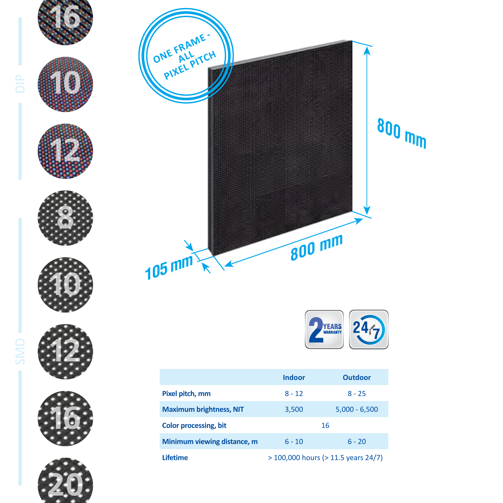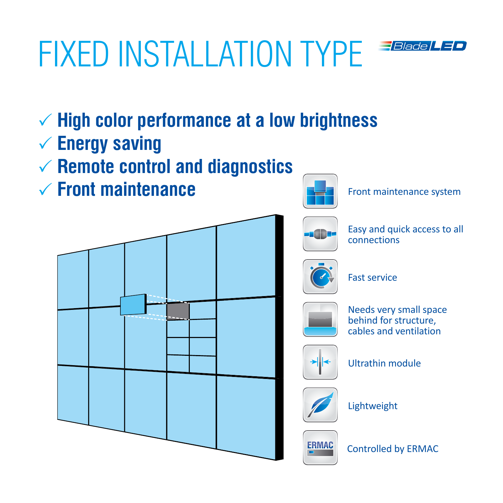## fixed installation type *FBlade LED*



- $\checkmark$  **Energy saving**
- P **Remote control and diagnostics**
- P **Front maintenance**



Front maintenance system



Easy and quick access to all connections



Fast service



Needs very small space behind for structure, cables and ventilation



Ultrathin module



Lightweight



**IAC** Controlled by ERMAC